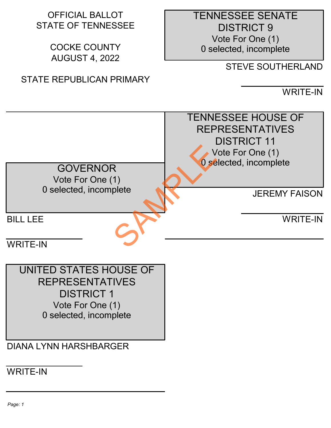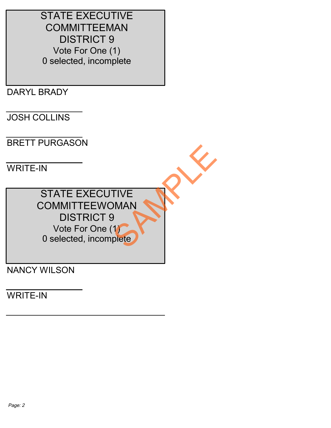STATE EXECUTIVE **COMMITTEEMAN**  DISTRICT 9 Vote For One (1) 0 selected, incomplete

DARYL BRADY

JOSH COLLINS

BRETT PURGASON

WRITE-IN

 STATE EXECUTIVE COMMITTEEWOMAN DISTRICT 9 Vote For One (1) 0 selected, incomplete TIVE<br>DMAN NY

NANCY WILSON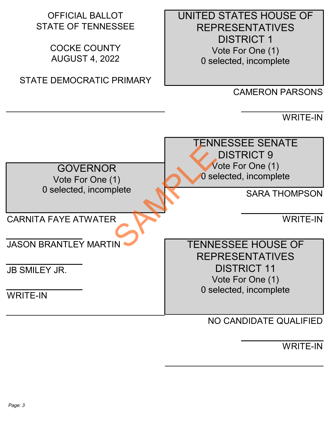| <b>OFFICIAL BALLOT</b><br><b>STATE OF TENNESSEE</b><br><b>COCKE COUNTY</b><br><b>AUGUST 4, 2022</b> | UNITED STATES HOUSE OF<br><b>REPRESENTATIVES</b><br><b>DISTRICT 1</b><br>Vote For One (1)<br>0 selected, incomplete |
|-----------------------------------------------------------------------------------------------------|---------------------------------------------------------------------------------------------------------------------|
| <b>STATE DEMOCRATIC PRIMARY</b>                                                                     |                                                                                                                     |
|                                                                                                     | <b>CAMERON PARSONS</b>                                                                                              |
|                                                                                                     | <b>WRITE-IN</b>                                                                                                     |
|                                                                                                     | <b>TENNESSEE SENATE</b><br><b>DISTRICT 9</b><br>Vote For One (1)                                                    |
| <b>GOVERNOR</b><br>Vote For One (1)                                                                 | 0 selected, incomplete                                                                                              |
| 0 selected, incomplete                                                                              | <b>SARA THOMPSON</b>                                                                                                |
| <b>CARNITA FAYE ATWATER</b>                                                                         | <b>WRITE-IN</b>                                                                                                     |
| <b>JASON BRANTLEY MARTIN</b>                                                                        | <b>TENNESSEE HOUSE OF</b><br><b>REPRESENTATIVES</b>                                                                 |
| <b>JB SMILEY JR.</b>                                                                                | <b>DISTRICT 11</b>                                                                                                  |
|                                                                                                     | Vote For One (1)<br>0 selected, incomplete                                                                          |
| <b>WRITE-IN</b>                                                                                     |                                                                                                                     |
|                                                                                                     | NO CANDIDATE QUALIFIED                                                                                              |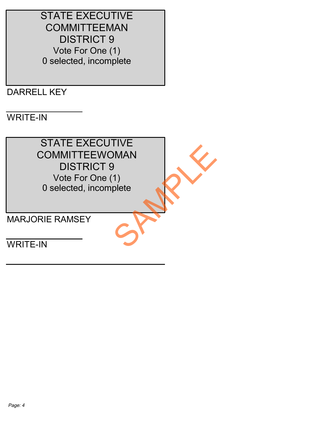STATE EXECUTIVE **COMMITTEEMAN**  DISTRICT 9 Vote For One (1) 0 selected, incomplete

## DARRELL KEY

## WRITE-IN

 STATE EXECUTIVE COMMITTEEWOMAN DISTRICT 9 Vote For One (1) 0 selected, incomplete DIMAN<br>DIMAN<br>CHANGE CHANGE

MARJORIE RAMSEY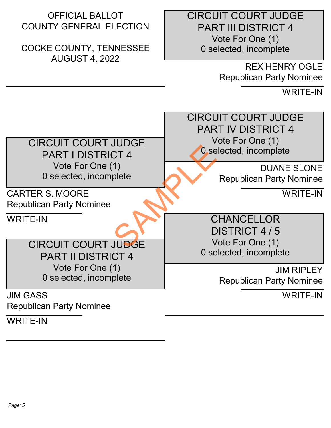| <b>OFFICIAL BALLOT</b><br><b>COUNTY GENERAL ELECTION</b><br><b>COCKE COUNTY, TENNESSEE</b><br><b>AUGUST 4, 2022</b>      | <b>CIRCUIT COURT JUDGE</b><br><b>PART III DISTRICT 4</b><br>Vote For One (1)<br>0 selected, incomplete<br><b>REX HENRY OGLE</b><br><b>Republican Party Nominee</b><br><b>WRITE-IN</b> |
|--------------------------------------------------------------------------------------------------------------------------|---------------------------------------------------------------------------------------------------------------------------------------------------------------------------------------|
| <b>CIRCUIT COURT JUDGE</b><br><b>PART I DISTRICT 4</b><br>Vote For One (1)<br>0 selected, incomplete                     | <b>CIRCUIT COURT JUDGE</b><br><b>PART IV DISTRICT 4</b><br>Vote For One (1)<br>0 selected, incomplete<br><b>DUANE SLONE</b><br><b>Republican Party Nominee</b>                        |
| <b>CARTER S. MOORE</b><br><b>Republican Party Nominee</b>                                                                | <b>WRITE-IN</b>                                                                                                                                                                       |
| <b>WRITE-IN</b><br><b>CIRCUIT COURT JUDGE</b><br><b>PART II DISTRICT 4</b><br>Vote For One (1)<br>0 selected, incomplete | <b>CHANCELLOR</b><br>DISTRICT 4/5<br>Vote For One (1)<br>0 selected, incomplete<br><b>JIM RIPLEY</b><br><b>Republican Party Nominee</b>                                               |
| <b>JIM GASS</b><br><b>Republican Party Nominee</b>                                                                       | <b>WRITE-IN</b>                                                                                                                                                                       |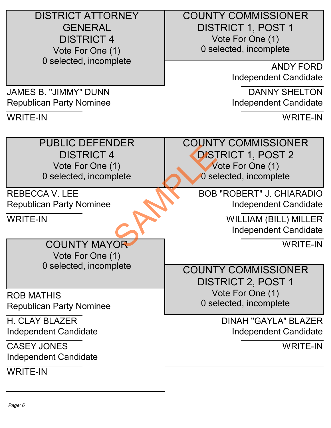DISTRICT ATTORNEY **GENERAL**  DISTRICT 4 Vote For One (1) 0 selected, incomplete

 COUNTY COMMISSIONER DISTRICT 1, POST 1 Vote For One (1) 0 selected, incomplete

> ANDY FORD Independent Candidate

> DANNY SHELTON Independent Candidate

> > WRITE-IN

 PUBLIC DEFENDER DISTRICT 4 Vote For One (1) 0 selected, incomplete

REBECCA V. LEE Republican Party Nominee

JAMES B. "JIMMY" DUNN Republican Party Nominee

WRITE-IN

WRITE-IN

 COUNTY MAYOR Vote For One (1) 0 selected, incomplete

ROB MATHIS Republican Party Nominee

H. CLAY BLAZER Independent Candidate

CASEY JONES Independent Candidate

WRITE-IN

 COUNTY COMMISSIONER DISTRICT 1, POST 2 Vote For One (1) 0 selected, incomplete Plete<br>
The Disc<br>
Disc<br>
Disc<br>
Disc<br>
Disc<br>
BOB<br>
BOB<br>
BOB

BOB "ROBERT" J. CHIARADIO Independent Candidate

> WILLIAM (BILL) MILLER Independent Candidate

> > WRITE-IN

 COUNTY COMMISSIONER DISTRICT 2, POST 1 Vote For One (1) 0 selected, incomplete

> DINAH "GAYLA" BLAZER Independent Candidate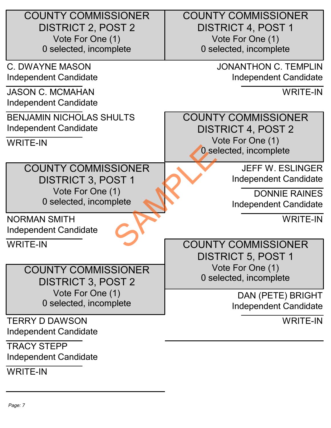| <b>COUNTY COMMISSIONER</b><br><b>DISTRICT 2, POST 2</b><br>Vote For One (1)<br>0 selected, incomplete | <b>COUNTY COMMISSIONER</b><br><b>DISTRICT 4, POST 1</b><br>Vote For One (1)<br>0 selected, incomplete |
|-------------------------------------------------------------------------------------------------------|-------------------------------------------------------------------------------------------------------|
| <b>C. DWAYNE MASON</b><br>Independent Candidate                                                       | <b>JONANTHON C. TEMPLIN</b><br>Independent Candidate                                                  |
| <b>JASON C. MCMAHAN</b><br>Independent Candidate                                                      | <b>WRITE-IN</b>                                                                                       |
| <b>BENJAMIN NICHOLAS SHULTS</b><br>Independent Candidate<br><b>WRITE-IN</b>                           | <b>COUNTY COMMISSIONER</b><br><b>DISTRICT 4, POST 2</b><br>Vote For One (1)<br>0 selected, incomplete |
| <b>COUNTY COMMISSIONER</b><br><b>DISTRICT 3, POST 1</b><br>Vote For One (1)<br>0 selected, incomplete | <b>JEFF W. ESLINGER</b><br>Independent Candidate<br><b>DONNIE RAINES</b><br>Independent Candidate     |
| <b>NORMAN SMITH</b><br>Independent Candidate                                                          | <b>WRITE-IN</b>                                                                                       |
| <b>WRITE-IN</b>                                                                                       | <b>COUNTY COMMISSIONER</b><br><b>DISTRICT 5, POST 1</b>                                               |
| <b>COUNTY COMMISSIONER</b><br><b>DISTRICT 3, POST 2</b>                                               | Vote For One (1)<br>0 selected, incomplete                                                            |
| Vote For One (1)<br>0 selected, incomplete                                                            | DAN (PETE) BRIGHT<br>Independent Candidate                                                            |
| <b>TERRY D DAWSON</b><br>Independent Candidate                                                        | <b>WRITE-IN</b>                                                                                       |
| <b>TRACY STEPP</b><br>Independent Candidate                                                           |                                                                                                       |
| <b>WRITE-IN</b>                                                                                       |                                                                                                       |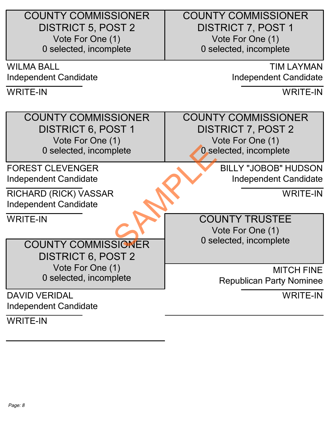| <b>COUNTY COMMISSIONER</b> | <b>COUNTY COMMISSIONER</b>      |
|----------------------------|---------------------------------|
| <b>DISTRICT 5, POST 2</b>  | <b>DISTRICT 7, POST 1</b>       |
| Vote For One (1)           | Vote For One (1)                |
| 0 selected, incomplete     | 0 selected, incomplete          |
| <b>WILMA BALL</b>          | <b>TIM LAYMAN</b>               |
| Independent Candidate      | Independent Candidate           |
| <b>WRITE-IN</b>            | <b>WRITE-IN</b>                 |
|                            |                                 |
| <b>COUNTY COMMISSIONER</b> | <b>COUNTY COMMISSIONER</b>      |
| <b>DISTRICT 6, POST 1</b>  | <b>DISTRICT 7, POST 2</b>       |
| Vote For One (1)           | Vote For One (1)                |
| 0 selected, incomplete     | 0 selected, incomplete          |
| <b>FOREST CLEVENGER</b>    | <b>BILLY "JOBOB" HUDSON</b>     |
| Independent Candidate      | Independent Candidate           |
| RICHARD (RICK) VASSAR      | <b>WRITE-IN</b>                 |
| Independent Candidate      |                                 |
| <b>WRITE-IN</b>            | <b>COUNTY TRUSTEE</b>           |
|                            | Vote For One (1)                |
| <b>COUNTY COMMISSIONER</b> | 0 selected, incomplete          |
| <b>DISTRICT 6, POST 2</b>  |                                 |
| Vote For One (1)           | <b>MITCH FINE</b>               |
| 0 selected, incomplete     | <b>Republican Party Nominee</b> |
| <b>DAVID VERIDAL</b>       | <b>WRITE-IN</b>                 |
| Independent Candidate      |                                 |
| <b>WRITE-IN</b>            |                                 |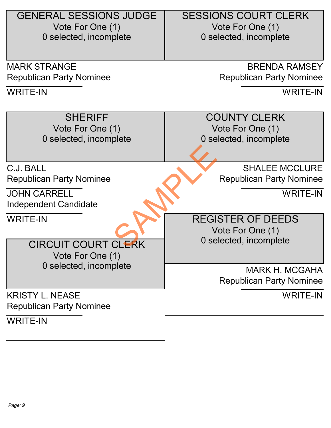| <b>GENERAL SESSIONS JUDGE</b>   | <b>SESSIONS COURT CLERK</b>     |
|---------------------------------|---------------------------------|
| Vote For One (1)                | Vote For One (1)                |
| 0 selected, incomplete          | 0 selected, incomplete          |
|                                 |                                 |
|                                 |                                 |
| <b>MARK STRANGE</b>             | <b>BRENDA RAMSEY</b>            |
| <b>Republican Party Nominee</b> | <b>Republican Party Nominee</b> |
| <b>WRITE-IN</b>                 | <b>WRITE-IN</b>                 |
|                                 |                                 |
| <b>SHERIFF</b>                  | <b>COUNTY CLERK</b>             |
| Vote For One (1)                | Vote For One (1)                |
| 0 selected, incomplete          | 0 selected, incomplete          |
|                                 |                                 |
| C.J. BALL                       | <b>SHALEE MCCLURE</b>           |
|                                 |                                 |
| <b>Republican Party Nominee</b> | <b>Republican Party Nominee</b> |
| <b>JOHN CARRELL</b>             | <b>WRITE-IN</b>                 |
| Independent Candidate           |                                 |
| <b>WRITE-IN</b>                 | <b>REGISTER OF DEEDS</b>        |
|                                 | Vote For One (1)                |
| <b>CIRCUIT COURT CLERK</b>      | 0 selected, incomplete          |
|                                 |                                 |
| Vote For One (1)                |                                 |
| 0 selected, incomplete          | <b>MARK H. MCGAHA</b>           |
|                                 | <b>Republican Party Nominee</b> |
| <b>KRISTY L. NEASE</b>          | <b>WRITE-IN</b>                 |
| <b>Republican Party Nominee</b> |                                 |
| <b>WRITE-IN</b>                 |                                 |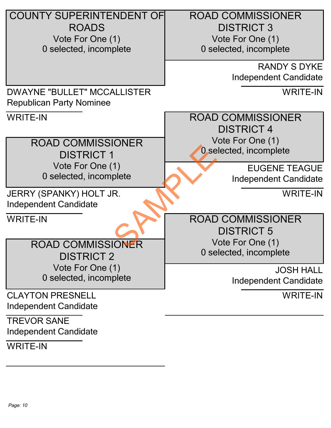| <b>COUNTY SUPERINTENDENT OF</b>                  | <b>ROAD COMMISSIONER</b> |
|--------------------------------------------------|--------------------------|
| <b>ROADS</b>                                     | <b>DISTRICT 3</b>        |
| Vote For One (1)                                 | Vote For One (1)         |
| 0 selected, incomplete                           | 0 selected, incomplete   |
|                                                  | <b>RANDY S DYKE</b>      |
|                                                  | Independent Candidate    |
| <b>DWAYNE "BULLET" MCCALLISTER</b>               | <b>WRITE-IN</b>          |
| <b>Republican Party Nominee</b>                  |                          |
| <b>WRITE-IN</b>                                  | <b>ROAD COMMISSIONER</b> |
|                                                  | <b>DISTRICT 4</b>        |
| <b>ROAD COMMISSIONER</b>                         | Vote For One (1)         |
| <b>DISTRICT 1</b>                                | 0 selected, incomplete   |
| Vote For One (1)                                 | <b>EUGENE TEAGUE</b>     |
| 0 selected, incomplete                           | Independent Candidate    |
|                                                  |                          |
| JERRY (SPANKY) HOLT JR.<br>Independent Candidate | <b>WRITE-IN</b>          |
| <b>WRITE-IN</b>                                  | <b>ROAD COMMISSIONER</b> |
|                                                  | <b>DISTRICT 5</b>        |
| <b>ROAD COMMISSIONER</b>                         | Vote For One (1)         |
| <b>DISTRICT 2</b>                                | 0 selected, incomplete   |
| Vote For One (1)                                 | <b>JOSH HALL</b>         |
| 0 selected, incomplete                           | Independent Candidate    |
|                                                  |                          |
| <b>CLAYTON PRESNELL</b>                          | <b>WRITE-IN</b>          |
| Independent Candidate                            |                          |
| <b>TREVOR SANE</b>                               |                          |
| Independent Candidate                            |                          |
| <b>WRITE-IN</b>                                  |                          |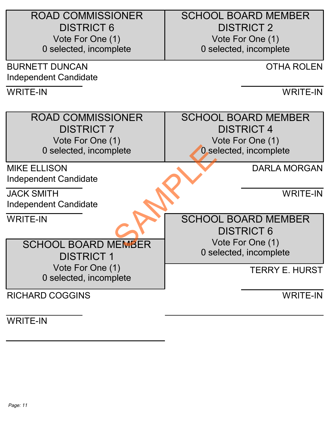| <b>ROAD COMMISSIONER</b>   | <b>SCHOOL BOARD MEMBER</b> |
|----------------------------|----------------------------|
| <b>DISTRICT 6</b>          | <b>DISTRICT 2</b>          |
| Vote For One (1)           | Vote For One (1)           |
| 0 selected, incomplete     | 0 selected, incomplete     |
| <b>BURNETT DUNCAN</b>      | <b>OTHA ROLEN</b>          |
| Independent Candidate      |                            |
| <b>WRITE-IN</b>            | <b>WRITE-IN</b>            |
| <b>ROAD COMMISSIONER</b>   | <b>SCHOOL BOARD MEMBER</b> |
| <b>DISTRICT 7</b>          | <b>DISTRICT 4</b>          |
| Vote For One (1)           | Vote For One (1)           |
| 0 selected, incomplete     | 0 selected, incomplete     |
|                            |                            |
| <b>MIKE ELLISON</b>        | <b>DARLA MORGAN</b>        |
| Independent Candidate      |                            |
| <b>JACK SMITH</b>          | <b>WRITE-IN</b>            |
| Independent Candidate      |                            |
| <b>WRITE-IN</b>            | <b>SCHOOL BOARD MEMBER</b> |
|                            | <b>DISTRICT 6</b>          |
| <b>SCHOOL BOARD MEMBER</b> | Vote For One (1)           |
| <b>DISTRICT 1</b>          | 0 selected, incomplete     |
| Vote For One (1)           | <b>TERRY E. HURST</b>      |
|                            |                            |
| 0 selected, incomplete     |                            |
| <b>RICHARD COGGINS</b>     | <b>WRITE-IN</b>            |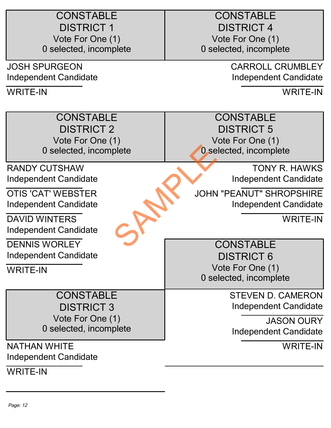| <b>CONSTABLE</b><br><b>DISTRICT 1</b><br>Vote For One (1)<br>0 selected, incomplete | <b>CONSTABLE</b><br><b>DISTRICT 4</b><br>Vote For One (1)<br>0 selected, incomplete |
|-------------------------------------------------------------------------------------|-------------------------------------------------------------------------------------|
| <b>JOSH SPURGEON</b>                                                                | <b>CARROLL CRUMBLEY</b>                                                             |
| Independent Candidate                                                               | Independent Candidate                                                               |
| <b>WRITE-IN</b>                                                                     | <b>WRITE-IN</b>                                                                     |
| <b>CONSTABLE</b>                                                                    | <b>CONSTABLE</b>                                                                    |
| <b>DISTRICT 2</b>                                                                   | <b>DISTRICT 5</b>                                                                   |
| Vote For One (1)                                                                    | Vote For One (1)                                                                    |
| 0 selected, incomplete                                                              | 0 selected, incomplete                                                              |
| <b>RANDY CUTSHAW</b>                                                                | <b>TONY R. HAWKS</b>                                                                |
| Independent Candidate                                                               | Independent Candidate                                                               |
| <b>OTIS 'CAT' WEBSTER</b>                                                           | <b>JOHN "PEANUT" SHROPSHIRE</b>                                                     |
| Independent Candidate                                                               | Independent Candidate                                                               |
| <b>DAVID WINTERS</b>                                                                | <b>WRITE-IN</b>                                                                     |
| Independent Candidate                                                               |                                                                                     |
| <b>DENNIS WORLEY</b>                                                                | <b>CONSTABLE</b>                                                                    |
| Independent Candidate                                                               | <b>DISTRICT 6</b>                                                                   |
| <b>WRITE-IN</b>                                                                     | Vote For One (1)                                                                    |
|                                                                                     | 0 selected, incomplete                                                              |
| <b>CONSTABLE</b>                                                                    | <b>STEVEN D. CAMERON</b>                                                            |
| <b>DISTRICT 3</b>                                                                   | Independent Candidate                                                               |
| Vote For One (1)                                                                    | <b>JASON OURY</b>                                                                   |
| 0 selected, incomplete                                                              | Independent Candidate                                                               |
| <b>NATHAN WHITE</b>                                                                 | <b>WRITE-IN</b>                                                                     |
| Independent Candidate                                                               |                                                                                     |
| <b>WRITE-IN</b>                                                                     |                                                                                     |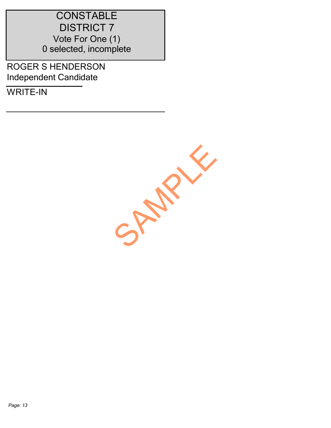## **CONSTABLE**  DISTRICT 7 Vote For One (1) 0 selected, incomplete

ROGER S HENDERSON Independent Candidate

WRITE-IN

SAMPLE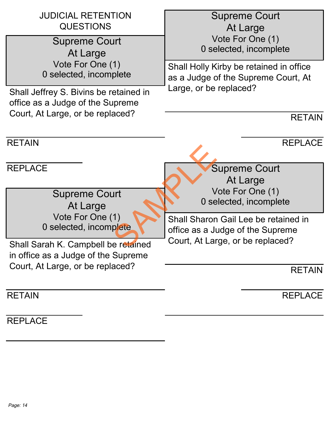| <b>JUDICIAL RETENTION</b><br><b>QUESTIONS</b>                              | <b>Supreme Court</b><br>At Large                                               |
|----------------------------------------------------------------------------|--------------------------------------------------------------------------------|
| <b>Supreme Court</b><br>At Large                                           | Vote For One (1)<br>0 selected, incomplete                                     |
| Vote For One (1)<br>0 selected, incomplete                                 | Shall Holly Kirby be retained in office<br>as a Judge of the Supreme Court, At |
| Shall Jeffrey S. Bivins be retained in<br>office as a Judge of the Supreme | Large, or be replaced?                                                         |
| Court, At Large, or be replaced?                                           | <b>RETAIN</b>                                                                  |
| <b>RETAIN</b>                                                              | <b>REPLACE</b>                                                                 |
| <b>REPLACE</b>                                                             | <b>Supreme Court</b><br>At Large                                               |
| <b>Supreme Court</b><br>At Large                                           | Vote For One (1)<br>0 selected, incomplete                                     |
| Vote For One (1)<br>0 selected, incomplete                                 | Shall Sharon Gail Lee be retained in<br>office as a Judge of the Supreme       |
| Shall Sarah K. Campbell be retained<br>in office as a Judge of the Supreme | Court, At Large, or be replaced?                                               |
| Court, At Large, or be replaced?                                           | <b>RETAIN</b>                                                                  |
| <b>RETAIN</b>                                                              | <b>REPLACE</b>                                                                 |

**REPLACE**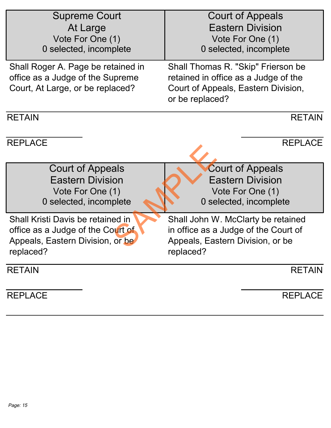| <b>Supreme Court</b><br>At Large<br>Vote For One (1)<br>0 selected, incomplete                                          | Court of Appeals<br><b>Eastern Division</b><br>Vote For One (1)<br>0 selected, incomplete                                            |
|-------------------------------------------------------------------------------------------------------------------------|--------------------------------------------------------------------------------------------------------------------------------------|
| Shall Roger A. Page be retained in<br>office as a Judge of the Supreme<br>Court, At Large, or be replaced?              | Shall Thomas R. "Skip" Frierson be<br>retained in office as a Judge of the<br>Court of Appeals, Eastern Division,<br>or be replaced? |
| <b>RETAIN</b>                                                                                                           | <b>RETAIN</b>                                                                                                                        |
| <b>REPLACE</b>                                                                                                          | <b>REPLACE</b>                                                                                                                       |
| Court of Appeals<br><b>Eastern Division</b><br>Vote For One (1)<br>0 selected, incomplete                               | <b>Court of Appeals</b><br><b>Eastern Division</b><br>Vote For One (1)<br>0 selected, incomplete                                     |
| Shall Kristi Davis be retained in<br>office as a Judge of the Court of<br>Appeals, Eastern Division, or be<br>replaced? | Shall John W. McClarty be retained<br>in office as a Judge of the Court of<br>Appeals, Eastern Division, or be<br>replaced?          |
| <b>RETAIN</b>                                                                                                           | <b>RETAIN</b>                                                                                                                        |
| <b>REPLACE</b>                                                                                                          | <b>REPLACE</b>                                                                                                                       |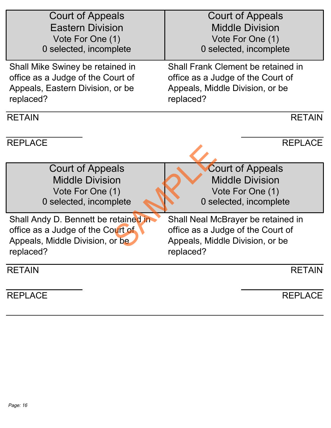| Court of Appeals                     | <b>Court of Appeals</b>            |
|--------------------------------------|------------------------------------|
| <b>Eastern Division</b>              | <b>Middle Division</b>             |
| Vote For One (1)                     | Vote For One (1)                   |
| 0 selected, incomplete               | 0 selected, incomplete             |
| Shall Mike Swiney be retained in     | Shall Frank Clement be retained in |
| office as a Judge of the Court of    | office as a Judge of the Court of  |
| Appeals, Eastern Division, or be     | Appeals, Middle Division, or be    |
| replaced?                            | replaced?                          |
| <b>RETAIN</b>                        | <b>RETAIN</b>                      |
| <b>REPLACE</b>                       | <b>REPLACE</b>                     |
| <b>Court of Appeals</b>              | <b>Court of Appeals</b>            |
| <b>Middle Division</b>               | <b>Middle Division</b>             |
| Vote For One (1)                     | Vote For One (1)                   |
| 0 selected, incomplete               | 0 selected, incomplete             |
| Shall Andy D. Bennett be retained in | Shall Neal McBrayer be retained in |
| office as a Judge of the Court of    | office as a Judge of the Court of  |
| Appeals, Middle Division, or be      | Appeals, Middle Division, or be    |
| replaced?                            | replaced?                          |
| <b>RETAIN</b>                        | <b>RETAIN</b>                      |
| <b>REPLACE</b>                       | <b>REPLACE</b>                     |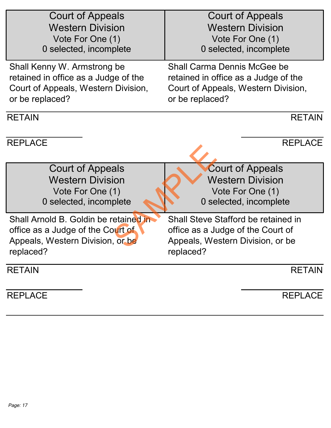| <b>Court of Appeals</b>               | <b>Court of Appeals</b>              |
|---------------------------------------|--------------------------------------|
| <b>Western Division</b>               | <b>Western Division</b>              |
| Vote For One (1)                      | Vote For One (1)                     |
| 0 selected, incomplete                | 0 selected, incomplete               |
| Shall Kenny W. Armstrong be           | Shall Carma Dennis McGee be          |
| retained in office as a Judge of the  | retained in office as a Judge of the |
| Court of Appeals, Western Division,   | Court of Appeals, Western Division,  |
| or be replaced?                       | or be replaced?                      |
| <b>RETAIN</b>                         | <b>RETAIN</b>                        |
| <b>REPLACE</b>                        | <b>REPLACE</b>                       |
| <b>Court of Appeals</b>               | <b>Court of Appeals</b>              |
| <b>Western Division</b>               | <b>Western Division</b>              |
| Vote For One (1)                      | Vote For One (1)                     |
| 0 selected, incomplete                | 0 selected, incomplete               |
| Shall Arnold B. Goldin be retained in | Shall Steve Stafford be retained in  |
| office as a Judge of the Court of     | office as a Judge of the Court of    |
| Appeals, Western Division, or be      | Appeals, Western Division, or be     |
| replaced?                             | replaced?                            |
| <b>RETAIN</b>                         | <b>RETAIN</b>                        |
| <b>REPLACE</b>                        | <b>REPLACE</b>                       |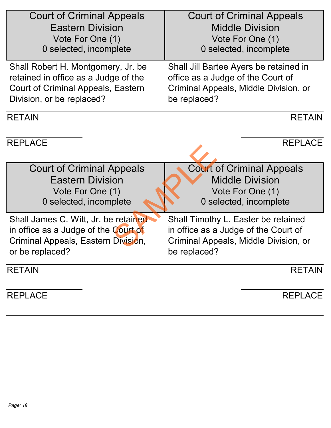| <b>Court of Criminal Appeals</b>     | <b>Court of Criminal Appeals</b>       |
|--------------------------------------|----------------------------------------|
| <b>Eastern Division</b>              | <b>Middle Division</b>                 |
| Vote For One (1)                     | Vote For One (1)                       |
| 0 selected, incomplete               | 0 selected, incomplete                 |
| Shall Robert H. Montgomery, Jr. be   | Shall Jill Bartee Ayers be retained in |
| retained in office as a Judge of the | office as a Judge of the Court of      |
| Court of Criminal Appeals, Eastern   | Criminal Appeals, Middle Division, or  |
| Division, or be replaced?            | be replaced?                           |
| <b>RETAIN</b>                        | <b>RETAIN</b>                          |
| <b>REPLACE</b>                       | <b>REPLACE</b>                         |
| <b>Court of Criminal Appeals</b>     | <b>Court of Criminal Appeals</b>       |
| <b>Eastern Division</b>              | <b>Middle Division</b>                 |
| Vote For One (1)                     | Vote For One (1)                       |
| 0 selected, incomplete               | 0 selected, incomplete                 |
| Shall James C. Witt, Jr. be retained | Shall Timothy L. Easter be retained    |
| in office as a Judge of the Court of | in office as a Judge of the Court of   |
| Criminal Appeals, Eastern Division,  | Criminal Appeals, Middle Division, or  |
| or be replaced?                      | be replaced?                           |
| <b>RETAIN</b>                        | <b>RETAIN</b>                          |
| <b>REPLACE</b>                       | <b>REPLACE</b>                         |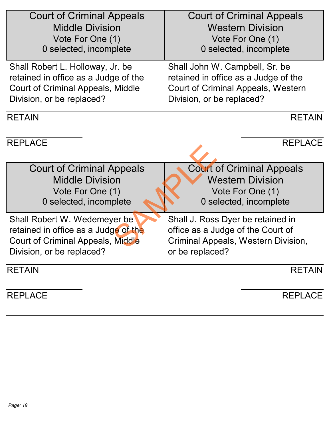| <b>Court of Criminal Appeals</b>     | <b>Court of Criminal Appeals</b>     |
|--------------------------------------|--------------------------------------|
| <b>Middle Division</b>               | <b>Western Division</b>              |
| Vote For One (1)                     | Vote For One (1)                     |
| 0 selected, incomplete               | 0 selected, incomplete               |
| Shall Robert L. Holloway, Jr. be     | Shall John W. Campbell, Sr. be       |
| retained in office as a Judge of the | retained in office as a Judge of the |
| Court of Criminal Appeals, Middle    | Court of Criminal Appeals, Western   |
| Division, or be replaced?            | Division, or be replaced?            |
| <b>RETAIN</b>                        | <b>RETAIN</b>                        |
| <b>REPLACE</b>                       | <b>REPLACE</b>                       |
| <b>Court of Criminal Appeals</b>     | <b>Court of Criminal Appeals</b>     |
| <b>Middle Division</b>               | <b>Western Division</b>              |
| Vote For One (1)                     | Vote For One (1)                     |
| 0 selected, incomplete               | 0 selected, incomplete               |
| Shall Robert W. Wedemeyer be         | Shall J. Ross Dyer be retained in    |
| retained in office as a Judge of the | office as a Judge of the Court of    |
| Court of Criminal Appeals, Middle    | Criminal Appeals, Western Division,  |
| Division, or be replaced?            | or be replaced?                      |
| <b>RETAIN</b>                        | <b>RETAIN</b>                        |
| <b>REPLACE</b>                       | <b>REPLACE</b>                       |